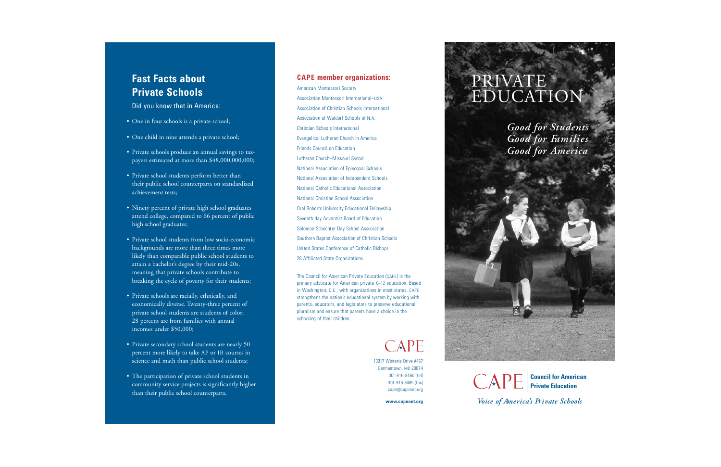## **Fast Facts about Private Schools**

Did you know that in America:

Amer ican Mont essori Soci e t y Association Montessori International–USA Association of Christian Schools International Association of Waldorf Schools of N.A. Christian Schools International Evangelical Lutheran Church in America Friends Council on Education Lutheran Church-Missouri Synod National Association of Episcopal Schools National Association of Independent Schools National Catholic Educational Association National Christian School Association Oral Roberts University Educational Fellowship Seventh-day Adventist Board of Education Sol omon Schechter Day School Assoc iat ion Southern Baptist Association of Christian Schools United States Conference of Catholic Bishops 28 Affiliated State Organizations

The Council for American Private Education (CAPE) is the primary advocate for American private K-12 education. Based in Washington, D.C., with organizations in most states, CAPE strengthens the nation's educational system by working with parents, educators, and legislators to preserve educational pluralism and ensure that parents have a choice in the schooling of their children.

# CAPE

13017 Wisteria Drive #457 Germantown, MD 20874 301-916-8460 (tel) 3 01 - 9 1 6 - 8 4 8 5 ( f a x ) cape@capenet.org

www.capenet.org

**Council for American Private Education**

*Voice of America's Private Schools* 

- One in four schools is a private school;
- One child in nine attends a private school;
- Private schools produce an annual savings to tax payers estimated at more than \$48,000,000,000;
- Private school students perform better than their public school counterparts on standardized achievement tests;
- Ninety percent of private high school graduates attend college, compared to 66 percent of public high school graduates;
- Private school students from low socio-economic backgrounds are more than three times more likely than comparable public school students to attain a bachelor 's degree by their mid-20s, meaning that private schools contribute to breaking the cycle of po verty for their students;
- Private schools are racially, ethnically, and economically diverse. Twenty-three percent of private school students are students of color; 28 percent are from families with annual incomes under \$50,000;
- Private secondary school students are nearly 50 percent more likely to take AP or IB courses in science and math than public school students;
- The participation of private school students in community service projects is significantly higher than their public school counterparts.

## **CAPE** member organizations: